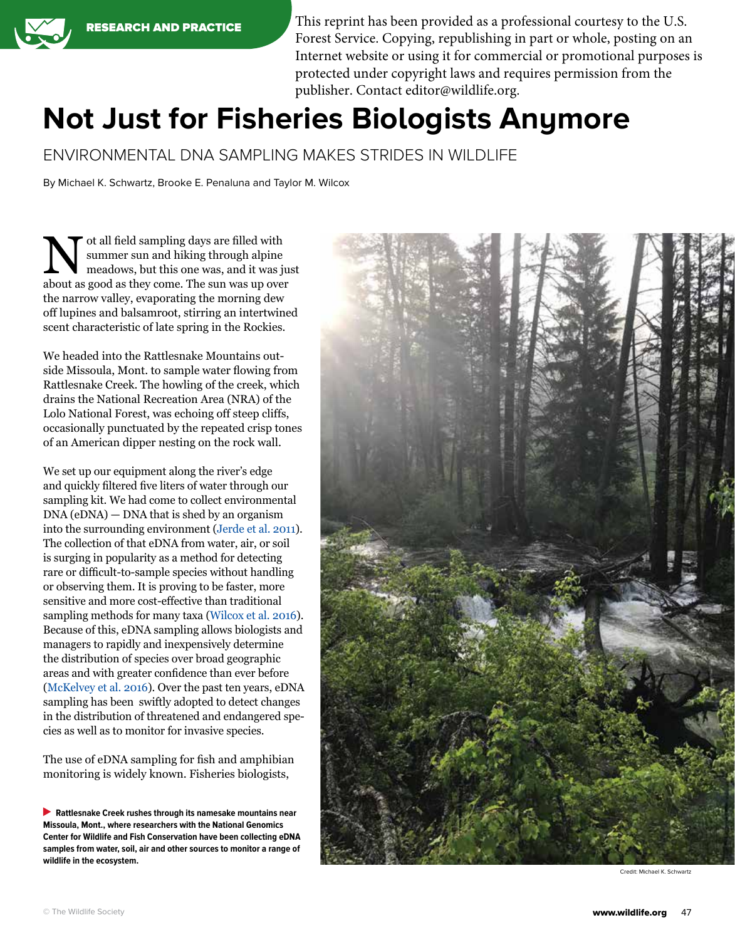This reprint has been provided as a professional courtesy to the U.S. Forest Service. Copying, republishing in part or whole, posting on an Internet website or using it for commercial or promotional purposes is protected under copyright laws and requires permission from the publisher. Contact editor@wildlife.org.

# **Not Just for Fisheries Biologists Anymore**

ENVIRONMENTAL DNA SAMPLING MAKES STRIDES IN WILDLIFE

By Michael K. Schwartz, Brooke E. Penaluna and Taylor M. Wilcox

ot all field sampling days are filled with<br>summer sun and hiking through alpine<br>meadows, but this one was, and it was ju summer sun and hiking through alpine meadows, but this one was, and it was just about as good as they come. The sun was up over the narrow valley, evaporating the morning dew off lupines and balsamroot, stirring an intertwined scent characteristic of late spring in the Rockies.

We headed into the Rattlesnake Mountains outside Missoula, Mont. to sample water flowing from Rattlesnake Creek. The howling of the creek, which drains the National Recreation Area (NRA) of the Lolo National Forest, was echoing off steep cliffs, occasionally punctuated by the repeated crisp tones of an American dipper nesting on the rock wall.

We set up our equipment along the river's edge and quickly filtered five liters of water through our sampling kit. We had come to collect environmental DNA (eDNA) — DNA that is shed by an organism into the surrounding environment ([Jerde et al. 2011](http://onlinelibrary.wiley.com/doi/10.1111/j.1755-263X.2010.00158.x/suppinfo)). The collection of that eDNA from water, air, or soil is surging in popularity as a method for detecting rare or difficult-to-sample species without handling or observing them. It is proving to be faster, more sensitive and more cost-effective than traditional sampling methods for many taxa ([Wilcox et al. 2016](https://www.fs.usda.gov/treesearch/pubs/50105)). Because of this, eDNA sampling allows biologists and managers to rapidly and inexpensively determine the distribution of species over broad geographic areas and with greater confidence than ever before [\(McKelvey et al. 2016](http://onlinelibrary.wiley.com/doi/10.1111/jfb.12863/abstract)). Over the past ten years, eDNA sampling has been swiftly adopted to detect changes in the distribution of threatened and endangered species as well as to monitor for invasive species.

The use of eDNA sampling for fish and amphibian monitoring is widely known. Fisheries biologists,

**Rattlesnake Creek rushes through its namesake mountains near Missoula, Mont., where researchers with the National Genomics Center for Wildlife and Fish Conservation have been collecting eDNA samples from water, soil, air and other sources to monitor a range of wildlife in the ecosystem.**



Credit: Michael K. Schwartz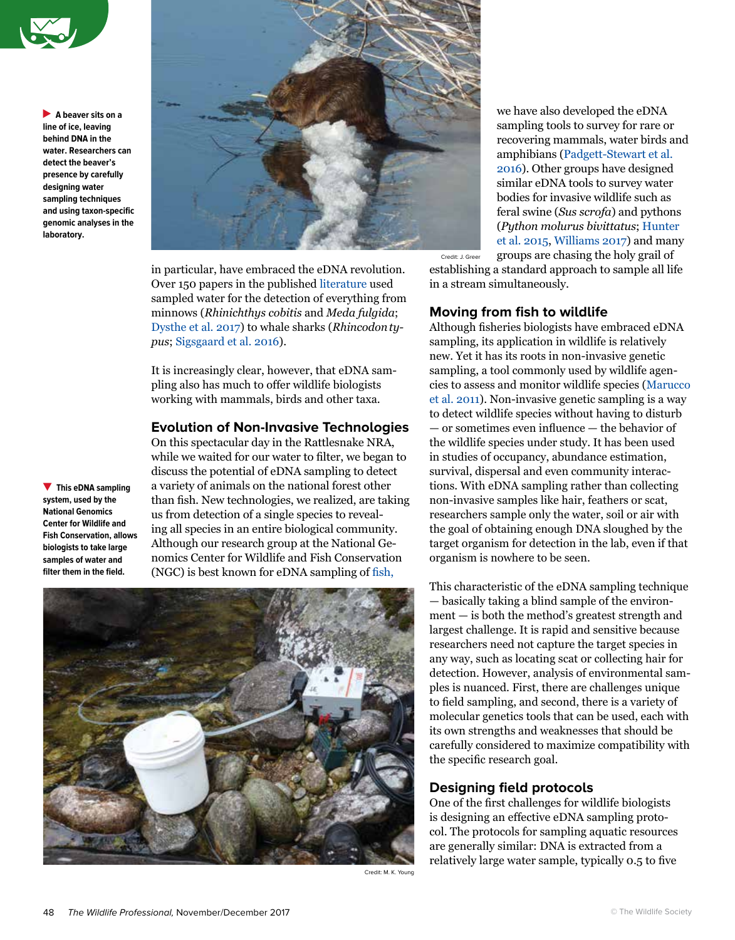

**A beaver sits on a line of ice, leaving behind DNA in the water. Researchers can detect the beaver's presence by carefully designing water sampling techniques and using taxon-specific genomic analyses in the laboratory.**



in particular, have embraced the eDNA revolution. Over 150 papers in the published [literature](http://taylorwilcox.weebly.com/edna-bibliography.html) used sampled water for the detection of everything from minnows (*Rhinichthys cobitis* and *Meda fulgida*; [Dysthe et al. 2017](http://journals.plos.org/plosone/article?id=10.1371/journal.pone.0162200)) to whale sharks (*Rhincodontypus*; [Sigsgaard et al. 2016\)](https://www.nature.com/articles/s41559-016-0004).

It is increasingly clear, however, that eDNA sampling also has much to offer wildlife biologists working with mammals, birds and other taxa.

#### **Evolution of Non-Invasive Technologies**

On this spectacular day in the Rattlesnake NRA, while we waited for our water to filter, we began to discuss the potential of eDNA sampling to detect a variety of animals on the national forest other than fish. New technologies, we realized, are taking us from detection of a single species to revealing all species in an entire biological community. Although our research group at the National Genomics Center for Wildlife and Fish Conservation (NGC) is best known for eDNA sampling of [fish](https://www.fs.fed.us/rm/boise/AWAE/projects/BullTrout_eDNA.html),



we have also developed the eDNA sampling tools to survey for rare or recovering mammals, water birds and amphibians ([Padgett-Stewart et al.](https://link.springer.com/article/10.1007/s12686-015-0511-x)  [2016\)](https://link.springer.com/article/10.1007/s12686-015-0511-x). Other groups have designed similar eDNA tools to survey water bodies for invasive wildlife such as feral swine (*Sus scrofa*) and pythons (*Python molurus bivittatus*; [Hunter](http://journals.plos.org/plosone/article?id=10.1371/journal.pone.0121655)  [et al. 2015,](http://journals.plos.org/plosone/article?id=10.1371/journal.pone.0121655) [Williams 2017\)](http://journals.plos.org/plosone/article?id=10.1371/journal.pone.0179282) and many groups are chasing the holy grail of

establishing a standard approach to sample all life in a stream simultaneously.

#### **Moving from fish to wildlife**

Although fisheries biologists have embraced eDNA sampling, its application in wildlife is relatively new. Yet it has its roots in non-invasive genetic sampling, a tool commonly used by wildlife agencies to assess and monitor wildlife species [\(Marucco](https://link.springer.com/article/10.1007/s10344-010-0477-7)  [et al. 2011\)](https://link.springer.com/article/10.1007/s10344-010-0477-7). Non-invasive genetic sampling is a way to detect wildlife species without having to disturb — or sometimes even influence — the behavior of the wildlife species under study. It has been used in studies of occupancy, abundance estimation, survival, dispersal and even community interactions. With eDNA sampling rather than collecting non-invasive samples like hair, feathers or scat, researchers sample only the water, soil or air with the goal of obtaining enough DNA sloughed by the target organism for detection in the lab, even if that organism is nowhere to be seen.

This characteristic of the eDNA sampling technique — basically taking a blind sample of the environment — is both the method's greatest strength and largest challenge. It is rapid and sensitive because researchers need not capture the target species in any way, such as locating scat or collecting hair for detection. However, analysis of environmental samples is nuanced. First, there are challenges unique to field sampling, and second, there is a variety of molecular genetics tools that can be used, each with its own strengths and weaknesses that should be carefully considered to maximize compatibility with the specific research goal.

## **Designing field protocols**

One of the first challenges for wildlife biologists is designing an effective eDNA sampling protocol. The protocols for sampling aquatic resources are generally similar: DNA is extracted from a relatively large water sample, typically 0.5 to five

Credit: M. K. Young

**This eDNA sampling system, used by the National Genomics Center for Wildlife and Fish Conservation, allows biologists to take large samples of water and filter them in the field.**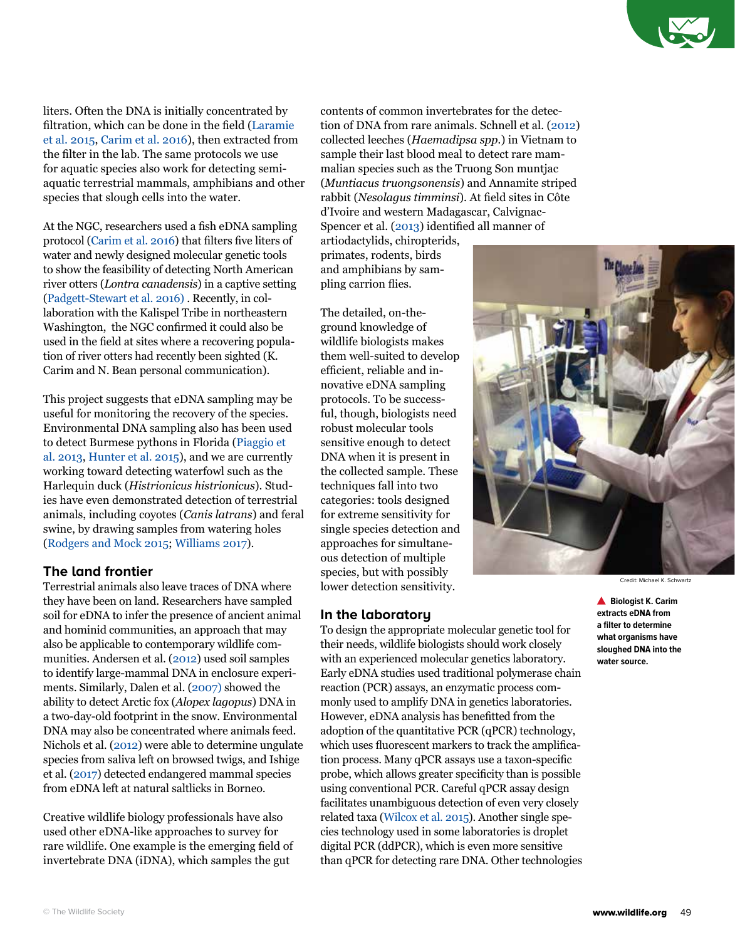

liters. Often the DNA is initially concentrated by filtration, which can be done in the field ([Laramie](http://dx.doi.org/10.3133/tm2A13)  [et al. 2015](http://dx.doi.org/10.3133/tm2A13), [Carim et al. 2016](https://www.fs.fed.us/rm/pubs/rmrs_gtr355.pdf)), then extracted from the filter in the lab. The same protocols we use for aquatic species also work for detecting semiaquatic terrestrial mammals, amphibians and other species that slough cells into the water.

At the NGC, researchers used a fish eDNA sampling protocol ([Carim et al. 2016\)](https://www.fs.fed.us/rm/pubs/rmrs_gtr355.pdf) that filters five liters of water and newly designed molecular genetic tools to show the feasibility of detecting North American river otters (*Lontra canadensis*) in a captive setting [\(Padgett-Stewart et al. 2016\)](https://link.springer.com/article/10.1007/s12686-015-0511-x) . Recently, in collaboration with the Kalispel Tribe in northeastern Washington, the NGC confirmed it could also be used in the field at sites where a recovering population of river otters had recently been sighted (K. Carim and N. Bean personal communication).

This project suggests that eDNA sampling may be useful for monitoring the recovery of the species. Environmental DNA sampling also has been used to detect Burmese pythons in Florida [\(Piaggio et](https://www.ncbi.nlm.nih.gov/pubmed/24119154)  [al. 2013,](https://www.ncbi.nlm.nih.gov/pubmed/24119154) [Hunter et al. 2015](http://journals.plos.org/plosone/article?id=10.1371/journal.pone.0121655)), and we are currently working toward detecting waterfowl such as the Harlequin duck (*Histrionicus histrionicus*). Studies have even demonstrated detection of terrestrial animals, including coyotes (*Canis latrans*) and feral swine, by drawing samples from watering holes ([Rodgers and Mock 2015;](https://link.springer.com/article/10.1007/s12686-015-0478-7) [Williams 2017\)](https://doi.org/10.1371/journal.pone.0179282).

### **The land frontier**

Terrestrial animals also leave traces of DNA where they have been on land. Researchers have sampled soil for eDNA to infer the presence of ancient animal and hominid communities, an approach that may also be applicable to contemporary wildlife communities. Andersen et al. ([2012](https://www.ncbi.nlm.nih.gov/pubmed/21917035)) used soil samples to identify large-mammal DNA in enclosure experiments. Similarly, Dalen et al. ([2007](https://pgl.soe.ucsc.edu/footprint.pdf)) showed the ability to detect Arctic fox (*Alopex lagopus*) DNA in a two-day-old footprint in the snow. Environmental DNA may also be concentrated where animals feed. Nichols et al. ([2012\)](https://www.ncbi.nlm.nih.gov/pubmed/22813481) were able to determine ungulate species from saliva left on browsed twigs, and Ishige et al. [\(2017\)](http://www.sciencedirect.com/science/article/pii/S0006320717301726) detected endangered mammal species from eDNA left at natural saltlicks in Borneo.

Creative wildlife biology professionals have also used other eDNA-like approaches to survey for rare wildlife. One example is the emerging field of invertebrate DNA (iDNA), which samples the gut

contents of common invertebrates for the detection of DNA from rare animals. Schnell et al. [\(2012\)](http://www.sciencedirect.com/science/article/pii/S0960982212002096) collected leeches (*Haemadipsa spp.*) in Vietnam to sample their last blood meal to detect rare mammalian species such as the Truong Son muntjac (*Muntiacus truongsonensis*) and Annamite striped rabbit (*Nesolagus timminsi*). At field sites in Côte d'Ivoire and western Madagascar, Calvignac-Spencer et al. [\(2013\)](http://onlinelibrary.wiley.com/doi/10.1111/mec.12183/abstract) identified all manner of

artiodactylids, chiropterids, primates, rodents, birds and amphibians by sampling carrion flies.

The detailed, on-theground knowledge of wildlife biologists makes them well-suited to develop efficient, reliable and innovative eDNA sampling protocols. To be successful, though, biologists need robust molecular tools sensitive enough to detect DNA when it is present in the collected sample. These techniques fall into two categories: tools designed for extreme sensitivity for single species detection and approaches for simultaneous detection of multiple species, but with possibly lower detection sensitivity.

#### **In the laboratory**

To design the appropriate molecular genetic tool for their needs, wildlife biologists should work closely with an experienced molecular genetics laboratory. Early eDNA studies used traditional polymerase chain reaction (PCR) assays, an enzymatic process commonly used to amplify DNA in genetics laboratories. However, eDNA analysis has benefitted from the adoption of the quantitative PCR (qPCR) technology, which uses fluorescent markers to track the amplification process. Many qPCR assays use a taxon-specific probe, which allows greater specificity than is possible using conventional PCR. Careful qPCR assay design facilitates unambiguous detection of even very closely related taxa ([Wilcox et al. 2015\)](http://journals.plos.org/plosone/article?id=10.1371/journal.pone.0142008). Another single species technology used in some laboratories is droplet digital PCR (ddPCR), which is even more sensitive than qPCR for detecting rare DNA. Other technologies



Credit: Michael K. Schwartz

**Biologist K. Carim extracts eDNA from a filter to determine what organisms have sloughed DNA into the water source.**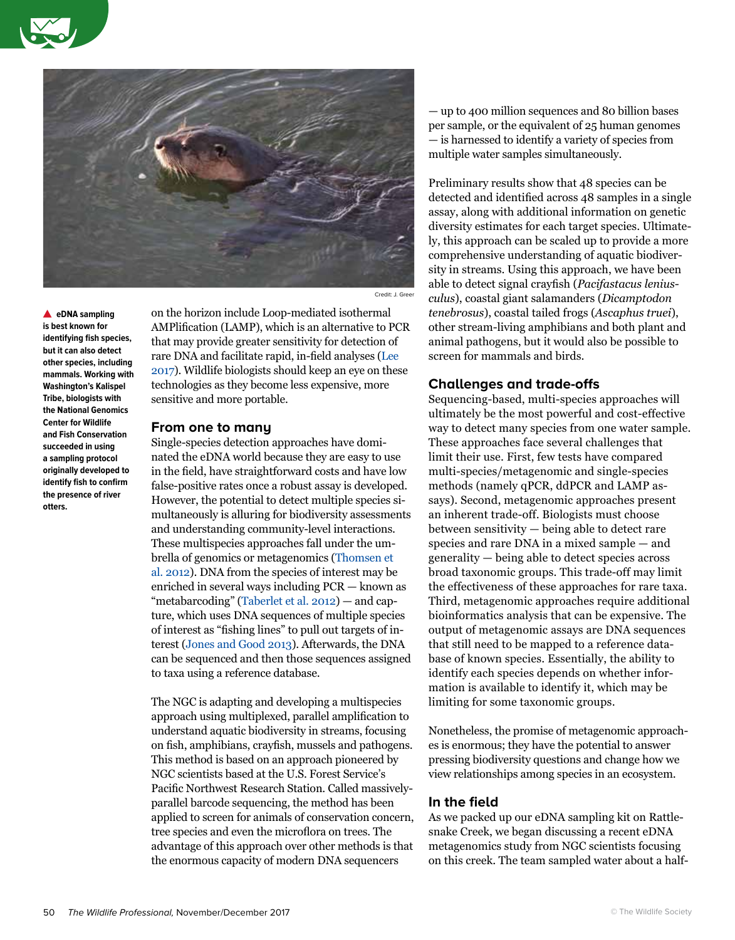



**eDNA sampling is best known for identifying fish species, but it can also detect other species, including mammals. Working with Washington's Kalispel Tribe, biologists with the National Genomics Center for Wildlife and Fish Conservation succeeded in using a sampling protocol originally developed to identify fish to confirm the presence of river otters.**

on the horizon include Loop-mediated isothermal AMPlification (LAMP), which is an alternative to PCR that may provide greater sensitivity for detection of rare DNA and facilitate rapid, in-field analyses ([Lee](https://www.ncbi.nlm.nih.gov/pubmed/28211246)  [2017](https://www.ncbi.nlm.nih.gov/pubmed/28211246)). Wildlife biologists should keep an eye on these technologies as they become less expensive, more sensitive and more portable.

#### **From one to many**

Single-species detection approaches have dominated the eDNA world because they are easy to use in the field, have straightforward costs and have low false-positive rates once a robust assay is developed. However, the potential to detect multiple species simultaneously is alluring for biodiversity assessments and understanding community-level interactions. These multispecies approaches fall under the umbrella of genomics or metagenomics [\(Thomsen et](http://onlinelibrary.wiley.com/doi/10.1111/j.1365-294X.2011.05418.x/abstract)  [al. 2012](http://onlinelibrary.wiley.com/doi/10.1111/j.1365-294X.2011.05418.x/abstract)). DNA from the species of interest may be enriched in several ways including PCR — known as "metabarcoding" [\(Taberlet et al. 2012\)](https://www.ncbi.nlm.nih.gov/pubmed/22486819) — and capture, which uses DNA sequences of multiple species of interest as "fishing lines" to pull out targets of interest ([Jones and Good 2013](http://onlinelibrary.wiley.com/doi/10.1111/mec.13304/abstract)). Afterwards, the DNA can be sequenced and then those sequences assigned to taxa using a reference database.

The NGC is adapting and developing a multispecies approach using multiplexed, parallel amplification to understand aquatic biodiversity in streams, focusing on fish, amphibians, crayfish, mussels and pathogens. This method is based on an approach pioneered by NGC scientists based at the U.S. Forest Service's Pacific Northwest Research Station. Called massivelyparallel barcode sequencing, the method has been applied to screen for animals of conservation concern, tree species and even the microflora on trees. The advantage of this approach over other methods is that the enormous capacity of modern DNA sequencers

— up to 400 million sequences and 80 billion bases per sample, or the equivalent of 25 human genomes — is harnessed to identify a variety of species from multiple water samples simultaneously.

Preliminary results show that 48 species can be detected and identified across 48 samples in a single assay, along with additional information on genetic diversity estimates for each target species. Ultimately, this approach can be scaled up to provide a more comprehensive understanding of aquatic biodiversity in streams. Using this approach, we have been able to detect signal crayfish (*Pacifastacus leniusculus*), coastal giant salamanders (*Dicamptodon tenebrosus*), coastal tailed frogs (*Ascaphus truei*), other stream-living amphibians and both plant and animal pathogens, but it would also be possible to screen for mammals and birds.

#### **Challenges and trade-offs**

Sequencing-based, multi-species approaches will ultimately be the most powerful and cost-effective way to detect many species from one water sample. These approaches face several challenges that limit their use. First, few tests have compared multi-species/metagenomic and single-species methods (namely qPCR, ddPCR and LAMP assays). Second, metagenomic approaches present an inherent trade-off. Biologists must choose between sensitivity — being able to detect rare species and rare DNA in a mixed sample — and generality — being able to detect species across broad taxonomic groups. This trade-off may limit the effectiveness of these approaches for rare taxa. Third, metagenomic approaches require additional bioinformatics analysis that can be expensive. The output of metagenomic assays are DNA sequences that still need to be mapped to a reference database of known species. Essentially, the ability to identify each species depends on whether information is available to identify it, which may be limiting for some taxonomic groups.

Nonetheless, the promise of metagenomic approaches is enormous; they have the potential to answer pressing biodiversity questions and change how we view relationships among species in an ecosystem.

#### **In the field**

As we packed up our eDNA sampling kit on Rattlesnake Creek, we began discussing a recent eDNA metagenomics study from NGC scientists focusing on this creek. The team sampled water about a half